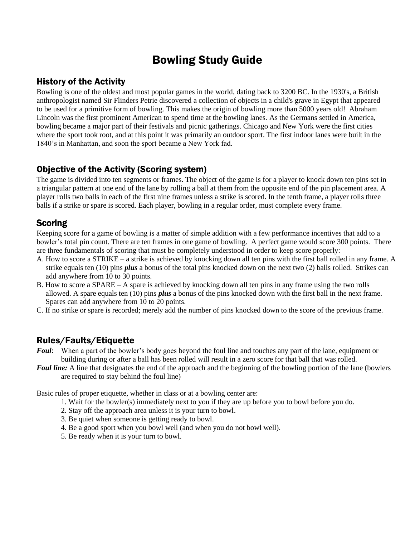# Bowling Study Guide

# History of the Activity

Bowling is one of the oldest and most popular games in the world, dating back to 3200 BC. In the 1930's, a British anthropologist named Sir Flinders Petrie discovered a collection of objects in a child's grave in Egypt that appeared to be used for a primitive form of bowling. This makes the origin of bowling more than 5000 years old! Abraham Lincoln was the first prominent American to spend time at the bowling lanes. As the Germans settled in America, bowling became a major part of their festivals and picnic gatherings. Chicago and New York were the first cities where the sport took root, and at this point it was primarily an outdoor sport. The first indoor lanes were built in the 1840's in Manhattan, and soon the sport became a New York fad.

### Objective of the Activity (Scoring system)

The game is divided into ten segments or frames. The object of the game is for a player to knock down ten pins set in a triangular pattern at one end of the lane by rolling a ball at them from the opposite end of the pin placement area. A player rolls two balls in each of the first nine frames unless a strike is scored. In the tenth frame, a player rolls three balls if a strike or spare is scored. Each player, bowling in a regular order, must complete every frame.

# **Scoring**

Keeping score for a game of bowling is a matter of simple addition with a few performance incentives that add to a bowler's total pin count. There are ten frames in one game of bowling. A perfect game would score 300 points. There are three fundamentals of scoring that must be completely understood in order to keep score properly:

- A. How to score a STRIKE a strike is achieved by knocking down all ten pins with the first ball rolled in any frame. A strike equals ten (10) pins *plus* a bonus of the total pins knocked down on the next two (2) balls rolled. Strikes can add anywhere from 10 to 30 points.
- B. How to score a SPARE A spare is achieved by knocking down all ten pins in any frame using the two rolls allowed. A spare equals ten (10) pins *plus* a bonus of the pins knocked down with the first ball in the next frame. Spares can add anywhere from 10 to 20 points.
- C. If no strike or spare is recorded; merely add the number of pins knocked down to the score of the previous frame.

# Rules/Faults/Etiquette

- *Foul*: When a part of the bowler's body goes beyond the foul line and touches any part of the lane, equipment or building during or after a ball has been rolled will result in a zero score for that ball that was rolled.
- *Foul line:* A line that designates the end of the approach and the beginning of the bowling portion of the lane (bowlers are required to stay behind the foul line)

Basic rules of proper etiquette, whether in class or at a bowling center are:

- 1. Wait for the bowler(s) immediately next to you if they are up before you to bowl before you do.
- 2. Stay off the approach area unless it is your turn to bowl.
- 3. Be quiet when someone is getting ready to bowl.
- 4. Be a good sport when you bowl well (and when you do not bowl well).
- 5. Be ready when it is your turn to bowl.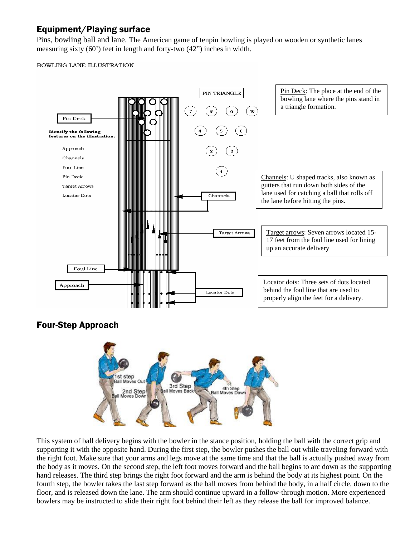# Equipment/Playing surface

Pins, bowling ball and lane. The American game of tenpin bowling is played on wooden or synthetic lanes measuring sixty (60') feet in length and forty-two (42") inches in width.

#### BOWLING LANE ILLUSTRATION



# Four-Step Approach



This system of ball delivery begins with the bowler in the stance position, holding the ball with the correct grip and supporting it with the opposite hand. During the first step, the bowler pushes the ball out while traveling forward with the right foot. Make sure that your arms and legs move at the same time and that the ball is actually pushed away from the body as it moves. On the second step, the left foot moves forward and the ball begins to arc down as the supporting hand releases. The third step brings the right foot forward and the arm is behind the body at its highest point. On the fourth step, the bowler takes the last step forward as the ball moves from behind the body, in a half circle, down to the floor, and is released down the lane. The arm should continue upward in a follow-through motion. More experienced bowlers may be instructed to slide their right foot behind their left as they release the ball for improved balance.